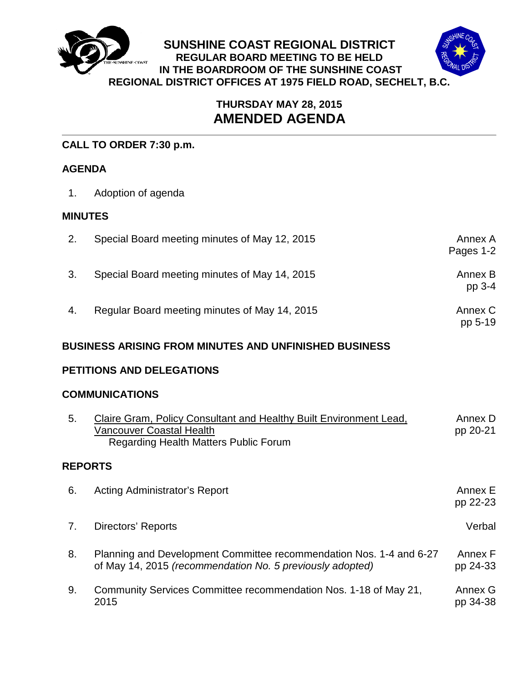

# **THURSDAY MAY 28, 2015 AMENDED AGENDA**

# **CALL TO ORDER 7:30 p.m.**

## **AGENDA**

1. Adoption of agenda

# **MINUTES**

| 2.                        | Special Board meeting minutes of May 12, 2015                                                                                                         | Annex A<br>Pages 1-2 |
|---------------------------|-------------------------------------------------------------------------------------------------------------------------------------------------------|----------------------|
| 3.                        | Special Board meeting minutes of May 14, 2015                                                                                                         | Annex B<br>pp 3-4    |
| 4.                        | Regular Board meeting minutes of May 14, 2015                                                                                                         | Annex C<br>pp 5-19   |
|                           | <b>BUSINESS ARISING FROM MINUTES AND UNFINISHED BUSINESS</b>                                                                                          |                      |
| PETITIONS AND DELEGATIONS |                                                                                                                                                       |                      |
|                           | <b>COMMUNICATIONS</b>                                                                                                                                 |                      |
| 5.                        | Claire Gram, Policy Consultant and Healthy Built Environment Lead,<br><b>Vancouver Coastal Health</b><br><b>Regarding Health Matters Public Forum</b> | Annex D<br>pp 20-21  |
| <b>REPORTS</b>            |                                                                                                                                                       |                      |
| 6.                        | Acting Administrator's Report                                                                                                                         | Annex E<br>pp 22-23  |
| 7.                        | <b>Directors' Reports</b>                                                                                                                             | Verbal               |
| 8.                        | Planning and Development Committee recommendation Nos. 1-4 and 6-27<br>of May 14, 2015 (recommendation No. 5 previously adopted)                      | Annex F<br>pp 24-33  |
| 9.                        | Community Services Committee recommendation Nos. 1-18 of May 21,<br>2015                                                                              | Annex G<br>pp 34-38  |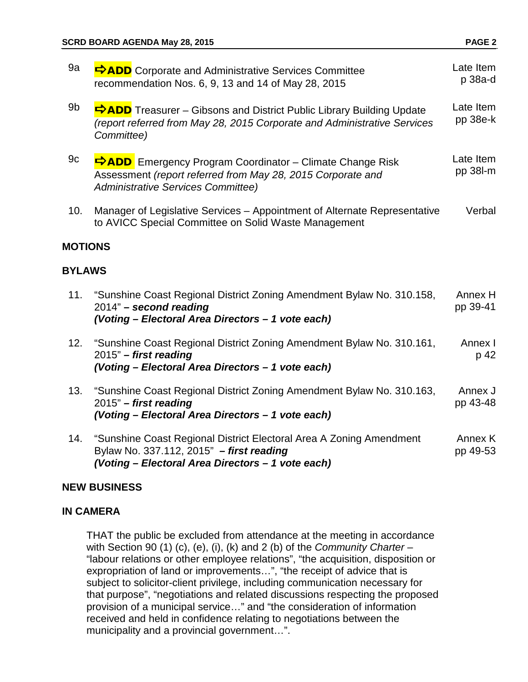| 9a             | <b>DADD</b> Corporate and Administrative Services Committee<br>recommendation Nos. 6, 9, 13 and 14 of May 28, 2015                                                          | Late Item<br>p 38a-d  |
|----------------|-----------------------------------------------------------------------------------------------------------------------------------------------------------------------------|-----------------------|
| 9b             | ADD Treasurer - Gibsons and District Public Library Building Update<br>(report referred from May 28, 2015 Corporate and Administrative Services<br>Committee)               | Late Item<br>pp 38e-k |
| 9c             | <b>DADD</b> Emergency Program Coordinator – Climate Change Risk<br>Assessment (report referred from May 28, 2015 Corporate and<br><b>Administrative Services Committee)</b> | Late Item<br>pp 38l-m |
| 10.            | Manager of Legislative Services - Appointment of Alternate Representative<br>to AVICC Special Committee on Solid Waste Management                                           | Verbal                |
| <b>MOTIONS</b> |                                                                                                                                                                             |                       |
| <b>BYLAWS</b>  |                                                                                                                                                                             |                       |
| 11.            | "Sunshine Coast Regional District Zoning Amendment Bylaw No. 310.158,<br>2014" - second reading<br>(Voting - Electoral Area Directors - 1 vote each)                        | Annex H<br>pp 39-41   |
| 12.            | "Sunshine Coast Regional District Zoning Amendment Bylaw No. 310.161,<br>2015" - first reading<br>(Voting - Electoral Area Directors - 1 vote each)                         | Annex I<br>p 42       |
| 13.            | "Sunshine Coast Regional District Zoning Amendment Bylaw No. 310.163,<br>$2015"$ – first reading<br>(Voting - Electoral Area Directors - 1 vote each)                       | Annex J<br>pp 43-48   |
| 14.            | "Sunshine Coast Regional District Electoral Area A Zoning Amendment<br>Bylaw No. 337.112, 2015" - first reading<br>(Voting - Electoral Area Directors - 1 vote each)        | Annex K<br>pp 49-53   |
|                |                                                                                                                                                                             |                       |

## **NEW BUSINESS**

## **IN CAMERA**

THAT the public be excluded from attendance at the meeting in accordance with Section 90 (1) (c), (e), (i), (k) and 2 (b) of the *Community Charter* – "labour relations or other employee relations", "the acquisition, disposition or expropriation of land or improvements…", "the receipt of advice that is subject to solicitor-client privilege, including communication necessary for that purpose", "negotiations and related discussions respecting the proposed provision of a municipal service…" and "the consideration of information received and held in confidence relating to negotiations between the municipality and a provincial government…".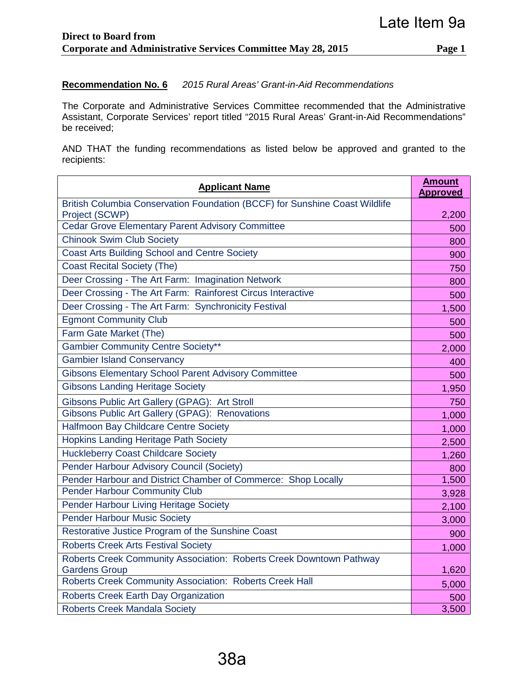### **Recommendation No. 6** *2015 Rural Areas' Grant-in-Aid Recommendations*

The Corporate and Administrative Services Committee recommended that the Administrative Assistant, Corporate Services' report titled "2015 Rural Areas' Grant-in-Aid Recommendations" be received;

AND THAT the funding recommendations as listed below be approved and granted to the recipients:

| <b>Applicant Name</b>                                                                         |       |
|-----------------------------------------------------------------------------------------------|-------|
| British Columbia Conservation Foundation (BCCF) for Sunshine Coast Wildlife<br>Project (SCWP) |       |
| <b>Cedar Grove Elementary Parent Advisory Committee</b>                                       |       |
| <b>Chinook Swim Club Society</b>                                                              | 800   |
| <b>Coast Arts Building School and Centre Society</b>                                          | 900   |
| <b>Coast Recital Society (The)</b>                                                            | 750   |
| Deer Crossing - The Art Farm: Imagination Network                                             | 800   |
| Deer Crossing - The Art Farm: Rainforest Circus Interactive                                   | 500   |
| Deer Crossing - The Art Farm: Synchronicity Festival                                          | 1,500 |
| <b>Egmont Community Club</b>                                                                  | 500   |
| Farm Gate Market (The)                                                                        | 500   |
| <b>Gambier Community Centre Society**</b>                                                     | 2,000 |
| <b>Gambier Island Conservancy</b>                                                             | 400   |
| <b>Gibsons Elementary School Parent Advisory Committee</b>                                    |       |
| <b>Gibsons Landing Heritage Society</b>                                                       |       |
| Gibsons Public Art Gallery (GPAG): Art Stroll                                                 |       |
| Gibsons Public Art Gallery (GPAG): Renovations                                                |       |
| Halfmoon Bay Childcare Centre Society                                                         |       |
| <b>Hopkins Landing Heritage Path Society</b>                                                  |       |
| <b>Huckleberry Coast Childcare Society</b>                                                    |       |
| Pender Harbour Advisory Council (Society)                                                     |       |
| Pender Harbour and District Chamber of Commerce: Shop Locally                                 |       |
| <b>Pender Harbour Community Club</b>                                                          |       |
| Pender Harbour Living Heritage Society                                                        |       |
| <b>Pender Harbour Music Society</b>                                                           | 3,000 |
| Restorative Justice Program of the Sunshine Coast                                             |       |
| <b>Roberts Creek Arts Festival Society</b>                                                    |       |
| Roberts Creek Community Association: Roberts Creek Downtown Pathway                           |       |
| <b>Gardens Group</b>                                                                          |       |
| Roberts Creek Community Association: Roberts Creek Hall                                       |       |
| Roberts Creek Earth Day Organization                                                          |       |
| <b>Roberts Creek Mandala Society</b>                                                          |       |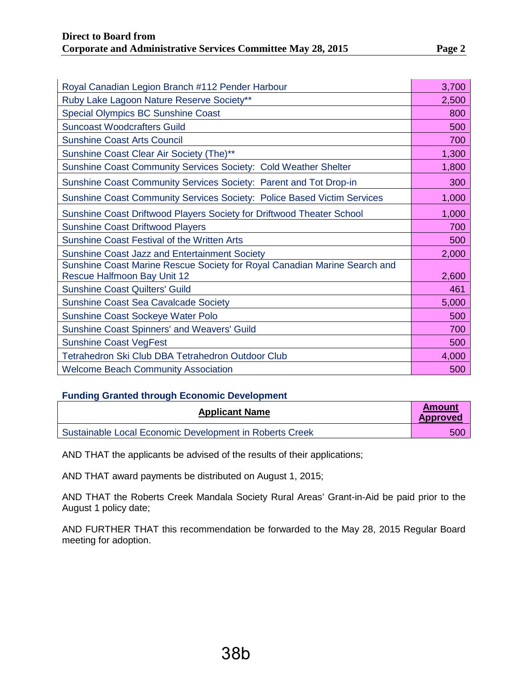| Royal Canadian Legion Branch #112 Pender Harbour                                                                |     |
|-----------------------------------------------------------------------------------------------------------------|-----|
| Ruby Lake Lagoon Nature Reserve Society**                                                                       |     |
| <b>Special Olympics BC Sunshine Coast</b>                                                                       |     |
| <b>Suncoast Woodcrafters Guild</b>                                                                              |     |
| <b>Sunshine Coast Arts Council</b>                                                                              |     |
| Sunshine Coast Clear Air Society (The)**                                                                        |     |
| Sunshine Coast Community Services Society: Cold Weather Shelter                                                 |     |
| Sunshine Coast Community Services Society: Parent and Tot Drop-in                                               | 300 |
| Sunshine Coast Community Services Society: Police Based Victim Services                                         |     |
| Sunshine Coast Driftwood Players Society for Driftwood Theater School                                           |     |
| <b>Sunshine Coast Driftwood Players</b>                                                                         |     |
| Sunshine Coast Festival of the Written Arts                                                                     |     |
| <b>Sunshine Coast Jazz and Entertainment Society</b>                                                            |     |
| Sunshine Coast Marine Rescue Society for Royal Canadian Marine Search and<br><b>Rescue Halfmoon Bay Unit 12</b> |     |
| <b>Sunshine Coast Quilters' Guild</b>                                                                           |     |
| Sunshine Coast Sea Cavalcade Society                                                                            |     |
| <b>Sunshine Coast Sockeye Water Polo</b>                                                                        |     |
| <b>Sunshine Coast Spinners' and Weavers' Guild</b>                                                              |     |
| <b>Sunshine Coast VegFest</b>                                                                                   |     |
| Tetrahedron Ski Club DBA Tetrahedron Outdoor Club                                                               |     |
| <b>Welcome Beach Community Association</b>                                                                      |     |

### **Funding Granted through Economic Development**

| <b>Applicant Name</b>                                   |  |
|---------------------------------------------------------|--|
| Sustainable Local Economic Development in Roberts Creek |  |

AND THAT the applicants be advised of the results of their applications;

AND THAT award payments be distributed on August 1, 2015;

AND THAT the Roberts Creek Mandala Society Rural Areas' Grant-in-Aid be paid prior to the August 1 policy date;

AND FURTHER THAT this recommendation be forwarded to the May 28, 2015 Regular Board meeting for adoption.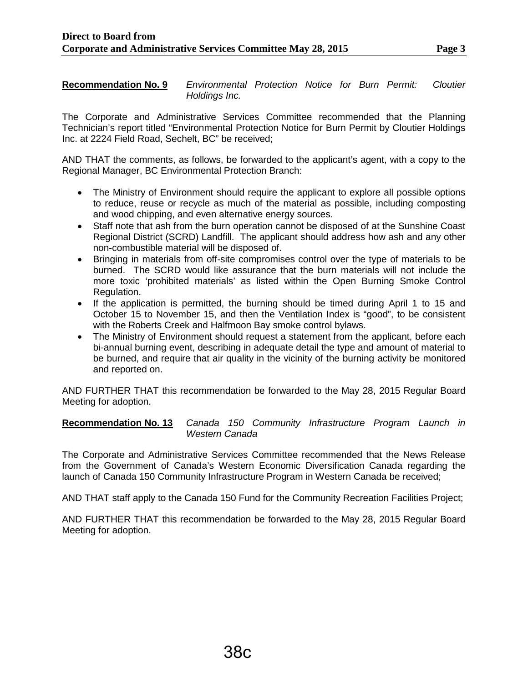**Recommendation No. 9** *Environmental Protection Notice for Burn Permit: Cloutier Holdings Inc.*

The Corporate and Administrative Services Committee recommended that the Planning Technician's report titled "Environmental Protection Notice for Burn Permit by Cloutier Holdings Inc. at 2224 Field Road, Sechelt, BC" be received;

AND THAT the comments, as follows, be forwarded to the applicant's agent, with a copy to the Regional Manager, BC Environmental Protection Branch:

- The Ministry of Environment should require the applicant to explore all possible options to reduce, reuse or recycle as much of the material as possible, including composting and wood chipping, and even alternative energy sources.
- Staff note that ash from the burn operation cannot be disposed of at the Sunshine Coast Regional District (SCRD) Landfill. The applicant should address how ash and any other non-combustible material will be disposed of.
- Bringing in materials from off-site compromises control over the type of materials to be burned. The SCRD would like assurance that the burn materials will not include the more toxic 'prohibited materials' as listed within the Open Burning Smoke Control Regulation.
- If the application is permitted, the burning should be timed during April 1 to 15 and October 15 to November 15, and then the Ventilation Index is "good", to be consistent with the Roberts Creek and Halfmoon Bay smoke control bylaws.
- The Ministry of Environment should request a statement from the applicant, before each bi-annual burning event, describing in adequate detail the type and amount of material to be burned, and require that air quality in the vicinity of the burning activity be monitored and reported on.

AND FURTHER THAT this recommendation be forwarded to the May 28, 2015 Regular Board Meeting for adoption.

**Recommendation No. 13** *Canada 150 Community Infrastructure Program Launch in Western Canada*

The Corporate and Administrative Services Committee recommended that the News Release from the Government of Canada's Western Economic Diversification Canada regarding the launch of Canada 150 Community Infrastructure Program in Western Canada be received;

AND THAT staff apply to the Canada 150 Fund for the Community Recreation Facilities Project;

AND FURTHER THAT this recommendation be forwarded to the May 28, 2015 Regular Board Meeting for adoption.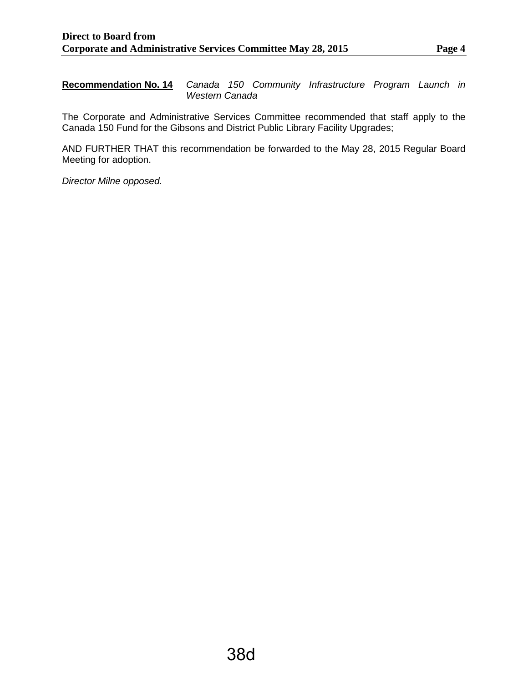**Recommendation No. 14** *Canada 150 Community Infrastructure Program Launch in Western Canada*

The Corporate and Administrative Services Committee recommended that staff apply to the Canada 150 Fund for the Gibsons and District Public Library Facility Upgrades;

AND FURTHER THAT this recommendation be forwarded to the May 28, 2015 Regular Board Meeting for adoption.

*Director Milne opposed.*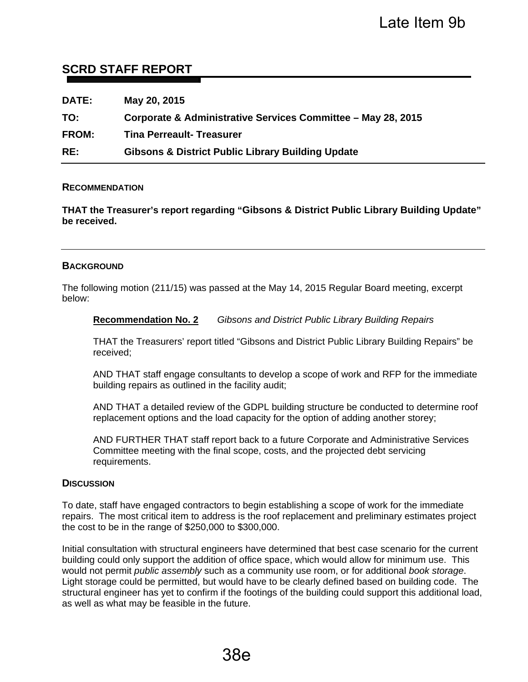# **SCRD STAFF REPORT**

| <b>DATE:</b> | May 20, 2015                                                 |
|--------------|--------------------------------------------------------------|
| TO:          | Corporate & Administrative Services Committee - May 28, 2015 |
| <b>FROM:</b> | <b>Tina Perreault- Treasurer</b>                             |
| RE:          | <b>Gibsons &amp; District Public Library Building Update</b> |

#### **RECOMMENDATION**

**THAT the Treasurer's report regarding "Gibsons & District Public Library Building Update" be received.** 

#### **BACKGROUND**

The following motion (211/15) was passed at the May 14, 2015 Regular Board meeting, excerpt below:

#### **Recommendation No. 2** *Gibsons and District Public Library Building Repairs*

THAT the Treasurers' report titled "Gibsons and District Public Library Building Repairs" be received;

AND THAT staff engage consultants to develop a scope of work and RFP for the immediate building repairs as outlined in the facility audit;

AND THAT a detailed review of the GDPL building structure be conducted to determine roof replacement options and the load capacity for the option of adding another storey;

AND FURTHER THAT staff report back to a future Corporate and Administrative Services Committee meeting with the final scope, costs, and the projected debt servicing requirements.

#### **DISCUSSION**

To date, staff have engaged contractors to begin establishing a scope of work for the immediate repairs. The most critical item to address is the roof replacement and preliminary estimates project the cost to be in the range of \$250,000 to \$300,000.

Initial consultation with structural engineers have determined that best case scenario for the current building could only support the addition of office space, which would allow for minimum use. This would not permit *public assembly* such as a community use room, or for additional *book storage*. Light storage could be permitted, but would have to be clearly defined based on building code. The structural engineer has yet to confirm if the footings of the building could support this additional load, as well as what may be feasible in the future.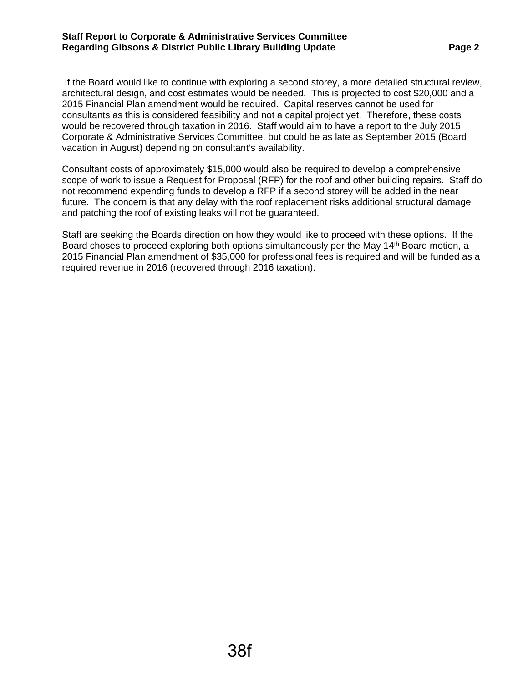If the Board would like to continue with exploring a second storey, a more detailed structural review, architectural design, and cost estimates would be needed. This is projected to cost \$20,000 and a 2015 Financial Plan amendment would be required. Capital reserves cannot be used for consultants as this is considered feasibility and not a capital project yet. Therefore, these costs would be recovered through taxation in 2016. Staff would aim to have a report to the July 2015 Corporate & Administrative Services Committee, but could be as late as September 2015 (Board vacation in August) depending on consultant's availability.

Consultant costs of approximately \$15,000 would also be required to develop a comprehensive scope of work to issue a Request for Proposal (RFP) for the roof and other building repairs. Staff do not recommend expending funds to develop a RFP if a second storey will be added in the near future. The concern is that any delay with the roof replacement risks additional structural damage and patching the roof of existing leaks will not be guaranteed.

Staff are seeking the Boards direction on how they would like to proceed with these options. If the Board choses to proceed exploring both options simultaneously per the May 14<sup>th</sup> Board motion, a 2015 Financial Plan amendment of \$35,000 for professional fees is required and will be funded as a required revenue in 2016 (recovered through 2016 taxation).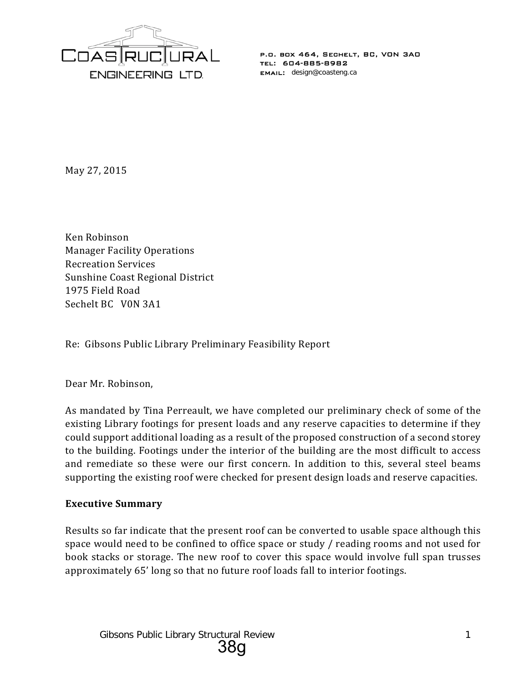

May 27, 2015

Ken Robinson Manager Facility Operations Recreation Services Sunshine Coast Regional District 1975 Field Road Sechelt BC V0N 3A1

Re: Gibsons Public Library Preliminary Feasibility Report

Dear Mr. Robinson,

As mandated by Tina Perreault, we have completed our preliminary check of some of the existing Library footings for present loads and any reserve capacities to determine if they could support additional loading as a result of the proposed construction of a second storey to the building. Footings under the interior of the building are the most difficult to access and remediate so these were our first concern. In addition to this, several steel beams supporting the existing roof were checked for present design loads and reserve capacities.

## **Executive Summary**

Results so far indicate that the present roof can be converted to usable space although this space would need to be confined to office space or study / reading rooms and not used for book stacks or storage. The new roof to cover this space would involve full span trusses approximately 65' long so that no future roof loads fall to interior footings.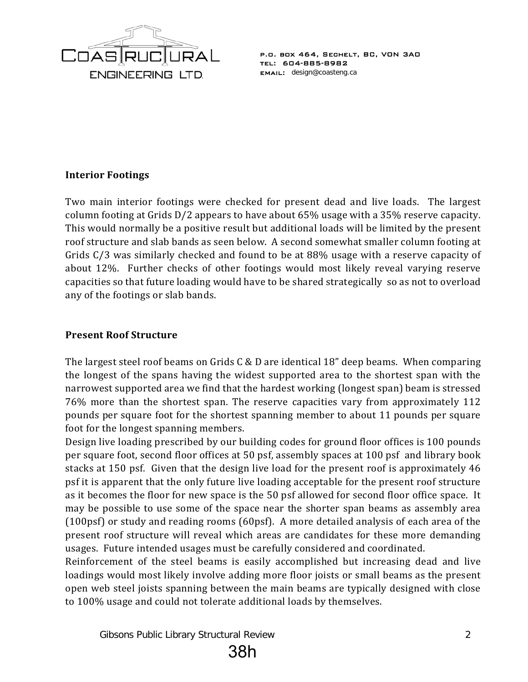

## **Interior Footings**

Two main interior footings were checked for present dead and live loads. The largest column footing at Grids D/2 appears to have about 65% usage with a 35% reserve capacity. This would normally be a positive result but additional loads will be limited by the present roof structure and slab bands as seen below. A second somewhat smaller column footing at Grids C/3 was similarly checked and found to be at 88% usage with a reserve capacity of about 12%. Further checks of other footings would most likely reveal varying reserve capacities so that future loading would have to be shared strategically so as not to overload any of the footings or slab bands.

## **Present Roof Structure**

The largest steel roof beams on Grids C & D are identical 18" deep beams. When comparing the longest of the spans having the widest supported area to the shortest span with the narrowest supported area we find that the hardest working (longest span) beam is stressed 76% more than the shortest span. The reserve capacities vary from approximately 112 pounds per square foot for the shortest spanning member to about 11 pounds per square foot for the longest spanning members.

Design live loading prescribed by our building codes for ground floor offices is 100 pounds per square foot, second floor offices at 50 psf, assembly spaces at 100 psf and library book stacks at 150 psf. Given that the design live load for the present roof is approximately 46 psf it is apparent that the only future live loading acceptable for the present roof structure as it becomes the floor for new space is the 50 psf allowed for second floor office space. It may be possible to use some of the space near the shorter span beams as assembly area (100psf) or study and reading rooms (60psf). A more detailed analysis of each area of the present roof structure will reveal which areas are candidates for these more demanding usages. Future intended usages must be carefully considered and coordinated.

Reinforcement of the steel beams is easily accomplished but increasing dead and live loadings would most likely involve adding more floor joists or small beams as the present open web steel joists spanning between the main beams are typically designed with close to 100% usage and could not tolerate additional loads by themselves.

Gibsons Public Library Structural Review 22

38h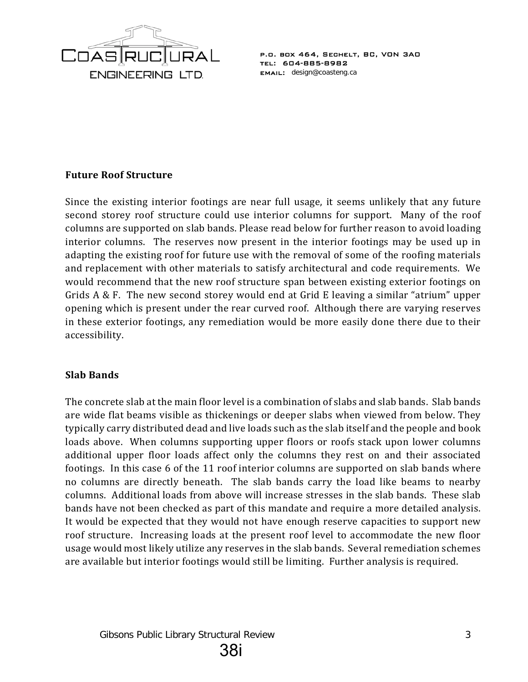

## **Future Roof Structure**

Since the existing interior footings are near full usage, it seems unlikely that any future second storey roof structure could use interior columns for support. Many of the roof columns are supported on slab bands. Please read below for further reason to avoid loading interior columns. The reserves now present in the interior footings may be used up in adapting the existing roof for future use with the removal of some of the roofing materials and replacement with other materials to satisfy architectural and code requirements. We would recommend that the new roof structure span between existing exterior footings on Grids A & F. The new second storey would end at Grid E leaving a similar "atrium" upper opening which is present under the rear curved roof. Although there are varying reserves in these exterior footings, any remediation would be more easily done there due to their accessibility.

## **Slab Bands**

The concrete slab at the main floor level is a combination of slabs and slab bands. Slab bands are wide flat beams visible as thickenings or deeper slabs when viewed from below. They typically carry distributed dead and live loads such as the slab itself and the people and book loads above. When columns supporting upper floors or roofs stack upon lower columns additional upper floor loads affect only the columns they rest on and their associated footings. In this case 6 of the 11 roof interior columns are supported on slab bands where no columns are directly beneath. The slab bands carry the load like beams to nearby columns. Additional loads from above will increase stresses in the slab bands. These slab bands have not been checked as part of this mandate and require a more detailed analysis. It would be expected that they would not have enough reserve capacities to support new roof structure. Increasing loads at the present roof level to accommodate the new floor usage would most likely utilize any reserves in the slab bands. Several remediation schemes are available but interior footings would still be limiting. Further analysis is required.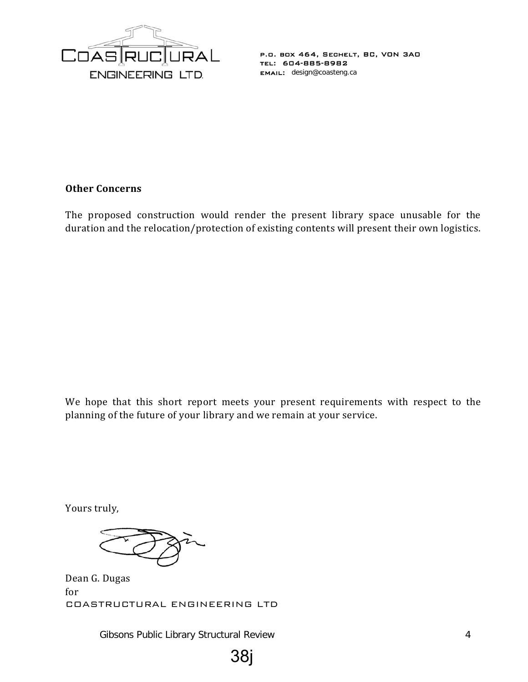

### **Other Concerns**

The proposed construction would render the present library space unusable for the duration and the relocation/protection of existing contents will present their own logistics.

We hope that this short report meets your present requirements with respect to the planning of the future of your library and we remain at your service.

Yours truly,

Dean G. Dugas for COASTRUCTURAL ENGINEERING LTD

Gibsons Public Library Structural Review 4

38j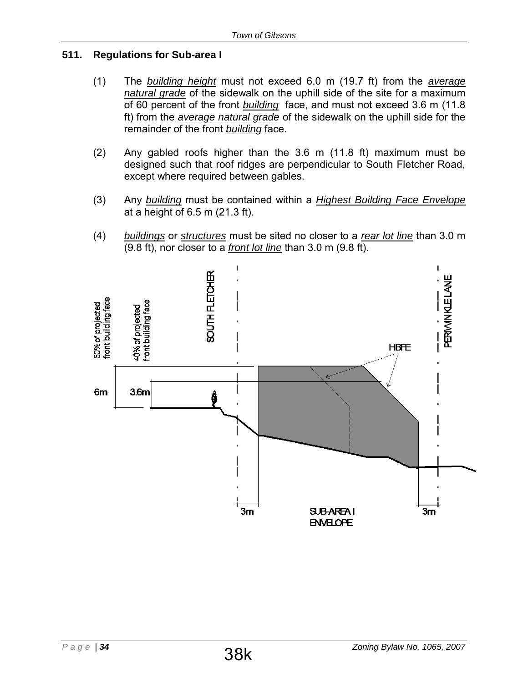# **511. Regulations for Sub-area I**

- (1) The *building height* must not exceed 6.0 m (19.7 ft) from the *average natural grade* of the sidewalk on the uphill side of the site for a maximum of 60 percent of the front *building* face, and must not exceed 3.6 m (11.8 ft) from the *average natural grade* of the sidewalk on the uphill side for the remainder of the front *building* face.
- (2) Any gabled roofs higher than the 3.6 m (11.8 ft) maximum must be designed such that roof ridges are perpendicular to South Fletcher Road, except where required between gables.
- (3) Any *building* must be contained within a *Highest Building Face Envelope* at a height of 6.5 m (21.3 ft).
- (4) *buildings* or *structures* must be sited no closer to a *rear lot line* than 3.0 m (9.8 ft), nor closer to a *front lot line* than 3.0 m (9.8 ft).

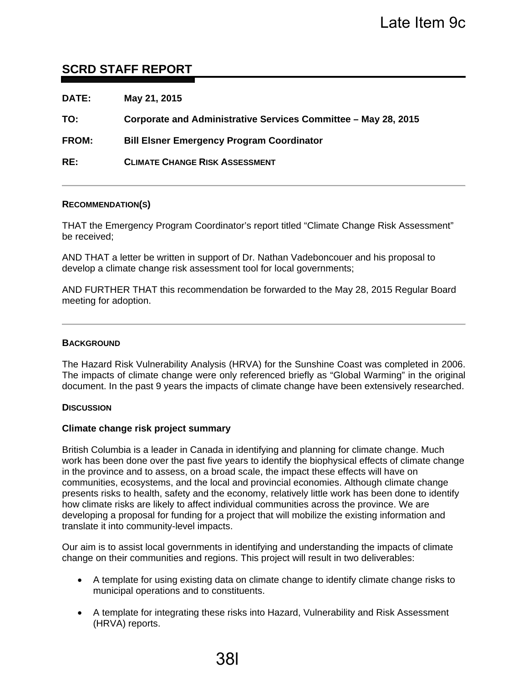# **SCRD STAFF REPORT**

| May 21, 2015                                                   |
|----------------------------------------------------------------|
| Corporate and Administrative Services Committee - May 28, 2015 |
| <b>Bill Elsner Emergency Program Coordinator</b>               |
| <b>CLIMATE CHANGE RISK ASSESSMENT</b>                          |
|                                                                |

#### **RECOMMENDATION(S)**

THAT the Emergency Program Coordinator's report titled "Climate Change Risk Assessment" be received;

AND THAT a letter be written in support of Dr. Nathan Vadeboncouer and his proposal to develop a climate change risk assessment tool for local governments;

AND FURTHER THAT this recommendation be forwarded to the May 28, 2015 Regular Board meeting for adoption.

#### **BACKGROUND**

The Hazard Risk Vulnerability Analysis (HRVA) for the Sunshine Coast was completed in 2006. The impacts of climate change were only referenced briefly as "Global Warming" in the original document. In the past 9 years the impacts of climate change have been extensively researched.

#### **DISCUSSION**

#### **Climate change risk project summary**

British Columbia is a leader in Canada in identifying and planning for climate change. Much work has been done over the past five years to identify the biophysical effects of climate change in the province and to assess, on a broad scale, the impact these effects will have on communities, ecosystems, and the local and provincial economies. Although climate change presents risks to health, safety and the economy, relatively little work has been done to identify how climate risks are likely to affect individual communities across the province. We are developing a proposal for funding for a project that will mobilize the existing information and translate it into community-level impacts.

Our aim is to assist local governments in identifying and understanding the impacts of climate change on their communities and regions. This project will result in two deliverables:

- A template for using existing data on climate change to identify climate change risks to municipal operations and to constituents.
- A template for integrating these risks into Hazard, Vulnerability and Risk Assessment (HRVA) reports.